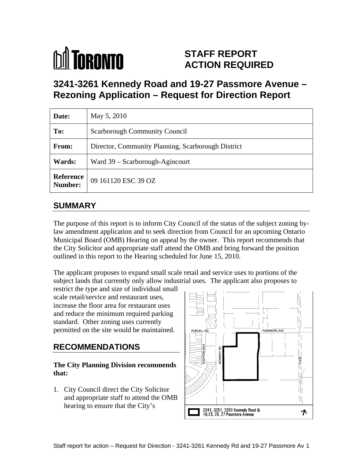

# **STAFF REPORT ACTION REQUIRED**

# **3241-3261 Kennedy Road and 19-27 Passmore Avenue – Rezoning Application – Request for Direction Report**

| Date:         | May 5, 2010                                        |
|---------------|----------------------------------------------------|
| To:           | Scarborough Community Council                      |
| From:         | Director, Community Planning, Scarborough District |
| <b>Wards:</b> | Ward 39 - Scarborough-Agincourt                    |
|               | <b>Reference</b> 09 161120 ESC 39 OZ               |

# **SUMMARY**

The purpose of this report is to inform City Council of the status of the subject zoning bylaw amendment application and to seek direction from Council for an upcoming Ontario Municipal Board (OMB) Hearing on appeal by the owner. This report recommends that the City Solicitor and appropriate staff attend the OMB and bring forward the position outlined in this report to the Hearing scheduled for June 15, 2010.

The applicant proposes to expand small scale retail and service uses to portions of the subject lands that currently only allow industrial uses. The applicant also proposes to

restrict the type and size of individual small and reduce the minimum required parking standard. Other zoning uses currently permitted on the site would be maintained.  $\parallel$  PURCELL SQ

1. City Council direct the City Solicitor hearing to ensure that the City's

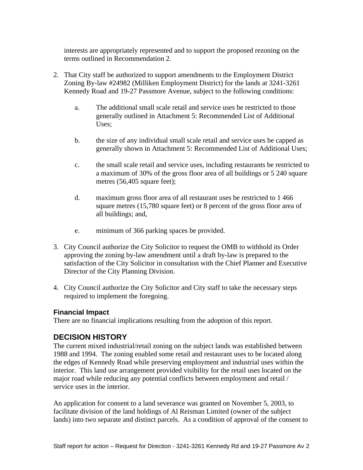interests are appropriately represented and to support the proposed rezoning on the terms outlined in Recommendation 2.

- 2. That City staff be authorized to support amendments to the Employment District Zoning By-law #24982 (Milliken Employment District) for the lands at 3241-3261 Kennedy Road and 19-27 Passmore Avenue, subject to the following conditions:
	- a. The additional small scale retail and service uses be restricted to those generally outlined in Attachment 5: Recommended List of Additional Uses;
	- b. the size of any individual small scale retail and service uses be capped as generally shown in Attachment 5: Recommended List of Additional Uses;
	- c. the small scale retail and service uses, including restaurants be restricted to a maximum of 30% of the gross floor area of all buildings or 5 240 square metres (56,405 square feet);
	- d. maximum gross floor area of all restaurant uses be restricted to 1 466 square metres (15,780 square feet) or 8 percent of the gross floor area of all buildings; and,
	- e. minimum of 366 parking spaces be provided.
- 3. City Council authorize the City Solicitor to request the OMB to withhold its Order approving the zoning by-law amendment until a draft by-law is prepared to the satisfaction of the City Solicitor in consultation with the Chief Planner and Executive Director of the City Planning Division.
- 4. City Council authorize the City Solicitor and City staff to take the necessary steps required to implement the foregoing.

#### **Financial Impact**

There are no financial implications resulting from the adoption of this report.

#### **DECISION HISTORY**

The current mixed industrial/retail zoning on the subject lands was established between 1988 and 1994. The zoning enabled some retail and restaurant uses to be located along the edges of Kennedy Road while preserving employment and industrial uses within the interior. This land use arrangement provided visibility for the retail uses located on the major road while reducing any potential conflicts between employment and retail / service uses in the interior.

An application for consent to a land severance was granted on November 5, 2003, to facilitate division of the land holdings of Al Reisman Limited (owner of the subject lands) into two separate and distinct parcels. As a condition of approval of the consent to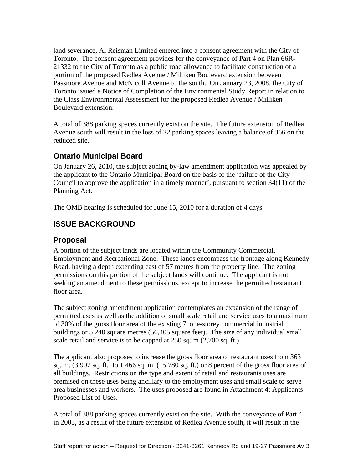land severance, Al Reisman Limited entered into a consent agreement with the City of Toronto. The consent agreement provides for the conveyance of Part 4 on Plan 66R- 21332 to the City of Toronto as a public road allowance to facilitate construction of a portion of the proposed Redlea Avenue / Milliken Boulevard extension between Passmore Avenue and McNicoll Avenue to the south. On January 23, 2008, the City of Toronto issued a Notice of Completion of the Environmental Study Report in relation to the Class Environmental Assessment for the proposed Redlea Avenue / Milliken Boulevard extension.

A total of 388 parking spaces currently exist on the site. The future extension of Redlea Avenue south will result in the loss of 22 parking spaces leaving a balance of 366 on the reduced site.

# **Ontario Municipal Board**

On January 26, 2010, the subject zoning by-law amendment application was appealed by the applicant to the Ontario Municipal Board on the basis of the 'failure of the City Council to approve the application in a timely manner', pursuant to section 34(11) of the Planning Act.

The OMB hearing is scheduled for June 15, 2010 for a duration of 4 days.

# **ISSUE BACKGROUND**

#### **Proposal**

A portion of the subject lands are located within the Community Commercial, Employment and Recreational Zone. These lands encompass the frontage along Kennedy Road, having a depth extending east of 57 metres from the property line. The zoning permissions on this portion of the subject lands will continue. The applicant is not seeking an amendment to these permissions, except to increase the permitted restaurant floor area.

The subject zoning amendment application contemplates an expansion of the range of permitted uses as well as the addition of small scale retail and service uses to a maximum of 30% of the gross floor area of the existing 7, one-storey commercial industrial buildings or 5 240 square metres (56,405 square feet). The size of any individual small scale retail and service is to be capped at 250 sq. m (2,700 sq. ft.).

The applicant also proposes to increase the gross floor area of restaurant uses from 363 sq. m. (3,907 sq. ft.) to 1 466 sq. m. (15,780 sq. ft.) or 8 percent of the gross floor area of all buildings. Restrictions on the type and extent of retail and restaurants uses are premised on these uses being ancillary to the employment uses and small scale to serve area businesses and workers. The uses proposed are found in Attachment 4: Applicants Proposed List of Uses.

A total of 388 parking spaces currently exist on the site. With the conveyance of Part 4 in 2003, as a result of the future extension of Redlea Avenue south, it will result in the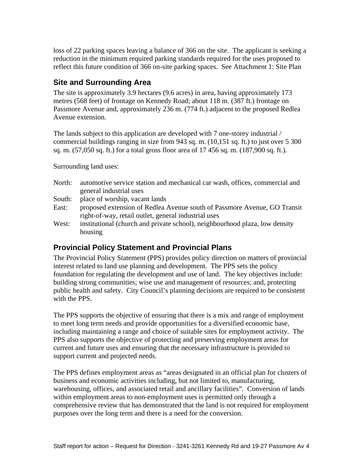loss of 22 parking spaces leaving a balance of 366 on the site. The applicant is seeking a reduction in the minimum required parking standards required for the uses proposed to reflect this future condition of 366 on-site parking spaces. See Attachment 1: Site Plan

#### **Site and Surrounding Area**

The site is approximately 3.9 hectares (9.6 acres) in area, having approximately 173 metres (568 feet) of frontage on Kennedy Road; about 118 m. (387 ft.) frontage on Passmore Avenue and, approximately 236 m. (774 ft.) adjacent to the proposed Redlea Avenue extension.

The lands subject to this application are developed with 7 one-storey industrial / commercial buildings ranging in size from 943 sq. m. (10,151 sq. ft.) to just over 5 300 sq. m. (57,050 sq. ft.) for a total gross floor area of 17 456 sq. m. (187,900 sq. ft.).

Surrounding land uses:

- North: automotive service station and mechanical car wash, offices, commercial and general industrial uses
- South: place of worship, vacant lands
- East: proposed extension of Redlea Avenue south of Passmore Avenue, GO Transit right-of-way, retail outlet, general industrial uses
- West: institutional (church and private school), neighbourhood plaza, low density housing the contract of the contract of the contract of the contract of the contract of the contract of the contract of the contract of the contract of the contract of the contract of the contract of the contract of the co

# **Provincial Policy Statement and Provincial Plans**

The Provincial Policy Statement (PPS) provides policy direction on matters of provincial interest related to land use planning and development. The PPS sets the policy foundation for regulating the development and use of land. The key objectives include: building strong communities; wise use and management of resources; and, protecting public health and safety. City Council's planning decisions are required to be consistent with the PPS.

The PPS supports the objective of ensuring that there is a mix and range of employment to meet long term needs and provide opportunities for a diversified economic base, including maintaining a range and choice of suitable sites for employment activity. The PPS also supports the objective of protecting and preserving employment areas for current and future uses and ensuring that the necessary infrastructure is provided to support current and projected needs.

The PPS defines employment areas as "areas designated in an official plan for clusters of business and economic activities including, but not limited to, manufacturing, warehousing, offices, and associated retail and ancillary facilities". Conversion of lands within employment areas to non-employment uses is permitted only through a comprehensive review that has demonstrated that the land is not required for employment purposes over the long term and there is a need for the conversion.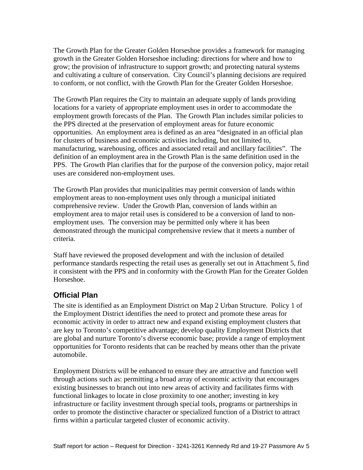The Growth Plan for the Greater Golden Horseshoe provides a framework for managing growth in the Greater Golden Horseshoe including: directions for where and how to grow; the provision of infrastructure to support growth; and protecting natural systems and cultivating a culture of conservation. City Council's planning decisions are required to conform, or not conflict, with the Growth Plan for the Greater Golden Horseshoe.

The Growth Plan requires the City to maintain an adequate supply of lands providing locations for a variety of appropriate employment uses in order to accommodate the employment growth forecasts of the Plan. The Growth Plan includes similar policies to the PPS directed at the preservation of employment areas for future economic opportunities. An employment area is defined as an area "designated in an official plan for clusters of business and economic activities including, but not limited to, manufacturing, warehousing, offices and associated retail and ancillary facilities". The definition of an employment area in the Growth Plan is the same definition used in the PPS. The Growth Plan clarifies that for the purpose of the conversion policy, major retail uses are considered non-employment uses.

The Growth Plan provides that municipalities may permit conversion of lands within employment areas to non-employment uses only through a municipal initiated comprehensive review. Under the Growth Plan, conversion of lands within an employment area to major retail uses is considered to be a conversion of land to non employment uses. The conversion may be permitted only where it has been demonstrated through the municipal comprehensive review that it meets a number of criteria.

Staff have reviewed the proposed development and with the inclusion of detailed performance standards respecting the retail uses as generally set out in Attachment 5, find it consistent with the PPS and in conformity with the Growth Plan for the Greater Golden Horseshoe.

# **Official Plan**

The site is identified as an Employment District on Map 2 Urban Structure. Policy 1 of the Employment District identifies the need to protect and promote these areas for economic activity in order to attract new and expand existing employment clusters that are key to Toronto's competitive advantage; develop quality Employment Districts that are global and nurture Toronto's diverse economic base; provide a range of employment opportunities for Toronto residents that can be reached by means other than the private automobile.

Employment Districts will be enhanced to ensure they are attractive and function well through actions such as: permitting a broad array of economic activity that encourages existing businesses to branch out into new areas of activity and facilitates firms with functional linkages to locate in close proximity to one another; investing in key infrastructure or facility investment through special tools, programs or partnerships in order to promote the distinctive character or specialized function of a District to attract firms within a particular targeted cluster of economic activity.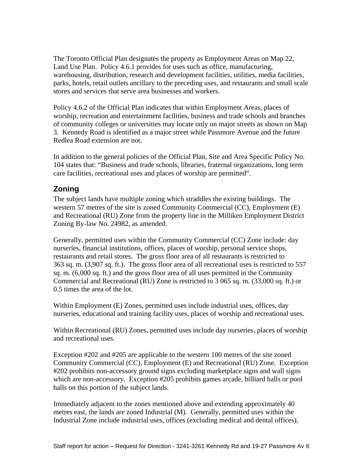The Toronto Official Plan designates the property as Employment Areas on Map 22, Land Use Plan. Policy 4.6.1 provides for uses such as office, manufacturing, warehousing, distribution, research and development facilities, utilities, media facilities, parks, hotels, retail outlets ancillary to the preceding uses, and restaurants and small scale stores and services that serve area businesses and workers.

Policy 4.6.2 of the Official Plan indicates that within Employment Areas, places of worship, recreation and entertainment facilities, business and trade schools and branches of community colleges or universities may locate only on major streets as shown on Map 3. Kennedy Road is identified as a major street while Passmore Avenue and the future Redlea Road extension are not.

In addition to the general policies of the Official Plan, Site and Area Specific Policy No. 104 states that: "Business and trade schools, libraries, fraternal organizations, long term care facilities, recreational uses and places of worship are permitted".

# **Zoning**

The subject lands have multiple zoning which straddles the existing buildings. The western 57 metres of the site is zoned Community Commercial (CC), Employment (E) and Recreational (RU) Zone from the property line in the Milliken Employment District Zoning By-law No. 24982, as amended.

Generally, permitted uses within the Community Commercial (CC) Zone include: day nurseries, financial institutions, offices, places of worship, personal service shops, restaurants and retail stores. The gross floor area of all restaurants is restricted to 363 sq. m. (3,907 sq. ft.). The gross floor area of all recreational uses is restricted to 557 sq. m. (6,000 sq. ft.) and the gross floor area of all uses permitted in the Community Commercial and Recreational (RU) Zone is restricted to 3 065 sq. m. (33,000 sq. ft.) or 0.5 times the area of the lot.

Within Employment (E) Zones, permitted uses include industrial uses, offices, day nurseries, educational and training facility uses, places of worship and recreational uses.

Within Recreational (RU) Zones, permitted uses include day nurseries, places of worship and recreational uses.

Exception #202 and #205 are applicable to the western 100 metres of the site zoned Community Commercial (CC), Employment (E) and Recreational (RU) Zone. Exception #202 prohibits non-accessory ground signs excluding marketplace signs and wall signs which are non-accessory. Exception #205 prohibits games arcade, billiard halls or pool halls on this portion of the subject lands.

Immediately adjacent to the zones mentioned above and extending approximately 40 metres east, the lands are zoned Industrial (M). Generally, permitted uses within the Industrial Zone include industrial uses, offices (excluding medical and dental offices),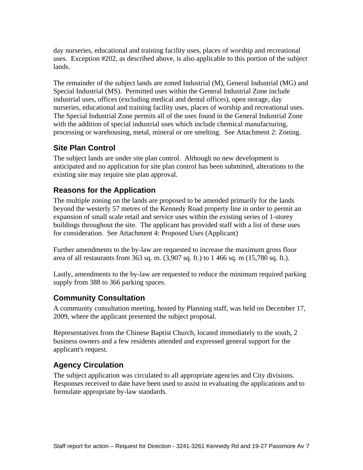day nurseries, educational and training facility uses, places of worship and recreational uses. Exception #202, as described above, is also applicable to this portion of the subject lands.

The remainder of the subject lands are zoned Industrial (M), General Industrial (MG) and Special Industrial (MS). Permitted uses within the General Industrial Zone include industrial uses, offices (excluding medical and dental offices), open storage, day nurseries, educational and training facility uses, places of worship and recreational uses. The Special Industrial Zone permits all of the uses found in the General Industrial Zone with the addition of special industrial uses which include chemical manufacturing, processing or warehousing, metal, mineral or ore smelting. See Attachment 2: Zoning.

#### **Site Plan Control**

The subject lands are under site plan control. Although no new development is anticipated and no application for site plan control has been submitted, alterations to the existing site may require site plan approval.

# **Reasons for the Application**

The multiple zoning on the lands are proposed to be amended primarily for the lands beyond the westerly 57 metres of the Kennedy Road property line in order to permit an expansion of small scale retail and service uses within the existing series of 1-storey buildings throughout the site. The applicant has provided staff with a list of these uses for consideration. See Attachment 4: Proposed Uses (Applicant)

Further amendments to the by-law are requested to increase the maximum gross floor area of all restaurants from 363 sq. m. (3,907 sq. ft.) to 1 466 sq. m (15,780 sq. ft.). Lastly, amendments to the by-law are requested to reduce the minimum required parking

supply from 388 to 366 parking spaces.

# **Community Consultation**

A community consultation meeting, hosted by Planning staff, was held on December 17, 2009, where the applicant presented the subject proposal.

Representatives from the Chinese Baptist Church, located immediately to the south, 2 business owners and a few residents attended and expressed general support for the applicant's request.

# **Agency Circulation**

The subject application was circulated to all appropriate agencies and City divisions. Responses received to date have been used to assist in evaluating the applications and to formulate appropriate by-law standards.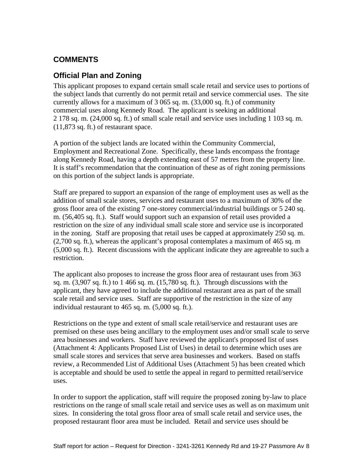# **COMMENTS**

# **Official Plan and Zoning**

This applicant proposes to expand certain small scale retail and service uses to portions of the subject lands that currently do not permit retail and service commercial uses. The site currently allows for a maximum of 3 065 sq. m. (33,000 sq. ft.) of community commercial uses along Kennedy Road. The applicant is seeking an additional 2 178 sq. m. (24,000 sq. ft.) of small scale retail and service uses including 1 103 sq. m. (11,873 sq. ft.) of restaurant space.

A portion of the subject lands are located within the Community Commercial, Employment and Recreational Zone. Specifically, these lands encompass the frontage along Kennedy Road, having a depth extending east of 57 metres from the property line. It is staff's recommendation that the continuation of these as of right zoning permissions on this portion of the subject lands is appropriate.

Staff are prepared to support an expansion of the range of employment uses as well as the addition of small scale stores, services and restaurant uses to a maximum of 30% of the gross floor area of the existing 7 one-storey commercial/industrial buildings or 5 240 sq. m. (56,405 sq. ft.). Staff would support such an expansion of retail uses provided a restriction on the size of any individual small scale store and service use is incorporated in the zoning. Staff are proposing that retail uses be capped at approximately 250 sq. m. (2,700 sq. ft.), whereas the applicant's proposal contemplates a maximum of 465 sq. m (5,000 sq. ft.). Recent discussions with the applicant indicate they are agreeable to such a restriction.

The applicant also proposes to increase the gross floor area of restaurant uses from 363 sq. m. (3,907 sq. ft.) to 1 466 sq. m. (15,780 sq. ft.). Through discussions with the applicant, they have agreed to include the additional restaurant area as part of the small scale retail and service uses. Staff are supportive of the restriction in the size of any individual restaurant to 465 sq. m. (5,000 sq. ft.).

Restrictions on the type and extent of small scale retail/service and restaurant uses are premised on these uses being ancillary to the employment uses and/or small scale to serve area businesses and workers. Staff have reviewed the applicant's proposed list of uses (Attachment 4: Applicants Proposed List of Uses) in detail to determine which uses are small scale stores and services that serve area businesses and workers. Based on staffs review, a Recommended List of Additional Uses (Attachment 5) has been created which is acceptable and should be used to settle the appeal in regard to permitted retail/service uses.

In order to support the application, staff will require the proposed zoning by-law to place restrictions on the range of small scale retail and service uses as well as on maximum unit sizes. In considering the total gross floor area of small scale retail and service uses, the proposed restaurant floor area must be included. Retail and service uses should be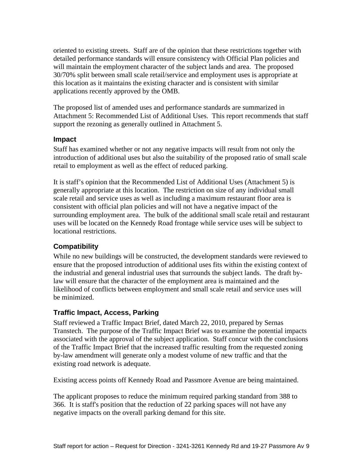oriented to existing streets. Staff are of the opinion that these restrictions together with detailed performance standards will ensure consistency with Official Plan policies and will maintain the employment character of the subject lands and area. The proposed 30/70% split between small scale retail/service and employment uses is appropriate at this location as it maintains the existing character and is consistent with similar applications recently approved by the OMB.

The proposed list of amended uses and performance standards are summarized in Attachment 5: Recommended List of Additional Uses. This report recommends that staff support the rezoning as generally outlined in Attachment 5.

#### **Impact**

Staff has examined whether or not any negative impacts will result from not only the introduction of additional uses but also the suitability of the proposed ratio of small scale retail to employment as well as the effect of reduced parking.

It is staff's opinion that the Recommended List of Additional Uses (Attachment 5) is generally appropriate at this location. The restriction on size of any individual small scale retail and service uses as well as including a maximum restaurant floor area is consistent with official plan policies and will not have a negative impact of the surrounding employment area. The bulk of the additional small scale retail and restaurant uses will be located on the Kennedy Road frontage while service uses will be subject to locational restrictions.

#### **Compatibility**

While no new buildings will be constructed, the development standards were reviewed to ensure that the proposed introduction of additional uses fits within the existing context of the industrial and general industrial uses that surrounds the subject lands. The draft bylaw will ensure that the character of the employment area is maintained and the likelihood of conflicts between employment and small scale retail and service uses will be minimized.

#### **Traffic Impact, Access, Parking**

Staff reviewed a Traffic Impact Brief, dated March 22, 2010, prepared by Sernas Transtech. The purpose of the Traffic Impact Brief was to examine the potential impacts associated with the approval of the subject application. Staff concur with the conclusions of the Traffic Impact Brief that the increased traffic resulting from the requested zoning by-law amendment will generate only a modest volume of new traffic and that the existing road network is adequate.

Existing access points off Kennedy Road and Passmore Avenue are being maintained.

The applicant proposes to reduce the minimum required parking standard from 388 to 366. It is staff's position that the reduction of 22 parking spaces will not have any negative impacts on the overall parking demand for this site.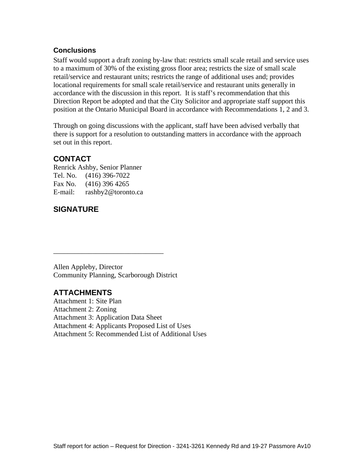#### **Conclusions**

Staff would support a draft zoning by-law that: restricts small scale retail and service uses to a maximum of 30% of the existing gross floor area; restricts the size of small scale retail/service and restaurant units; restricts the range of additional uses and; provides locational requirements for small scale retail/service and restaurant units generally in accordance with the discussion in this report. It is staff's recommendation that this Direction Report be adopted and that the City Solicitor and appropriate staff support this position at the Ontario Municipal Board in accordance with Recommendations 1, 2 and 3.

Through on going discussions with the applicant, staff have been advised verbally that there is support for a resolution to outstanding matters in accordance with the approach set out in this report.

 $\overline{\phantom{a}}$  , we are the contract of the contract of the contract of the contract of the contract of the contract of the contract of the contract of the contract of the contract of the contract of the contract of the cont

#### **CONTACT**

Renrick Ashby, Senior Planner Tel. No. (416) 396-7022 Fax No. (416) 396 4265 E-mail: rashby2@toronto.ca

#### **SIGNATURE**

Allen Appleby, Director Community Planning, Scarborough District

#### **ATTACHMENTS**

Attachment 1: Site Plan Attachment 2: Zoning Attachment 3: Application Data Sheet Attachment 4: Applicants Proposed List of Uses Attachment 5: Recommended List of Additional Uses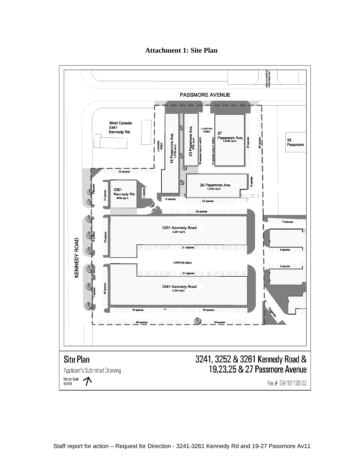

**Attachment 1: Site Plan**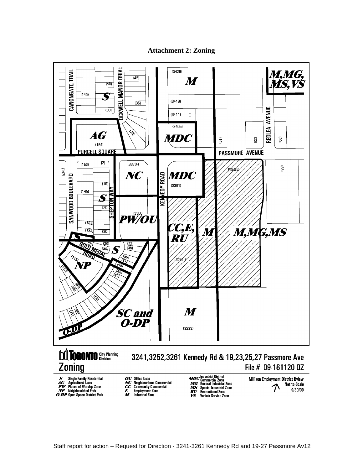**Attachment 2: Zoning**



# **Zoning**

# 3241,3252,3261 Kennedy Rd & 19,23,25,27 Passmore Ave File # 09-161120 0Z

- 
- $\begin{tabular}{ll} \boldsymbol{S} &\text{Single Family Residental} \\ \boldsymbol{AG} &\text{Agricultural Uses} \\ \boldsymbol{PW} &\text{Please of Workshop} \\ \boldsymbol{NP} &\text{Neighbourhhot Park} \\ \boldsymbol{O-DP} & \text{Open Space District Park} \end{tabular}$ 
	-
- $\begin{array}{ll} \text{\textit{OU}} & \text{Office} \\ \text{\textit{NC}} & \text{Neighbourhood}\text{ Commercial} \\ \text{\textit{CC}} & \text{Commutity}\text{Commercial} \\ \text{\textit{E}} & \text{Employment} \text{ zone} \\ \text{\textit{M}} & \text{Industrial Zone} \end{array}$

*MDC* Industrial District<br>*MGC* Gemeral Industrial Zone<br>*MG* General Industrial Zone<br>*RU* Recreational Zone<br>*VS* Vehicle Service Zone

Milliken Employment District Bylaw Not to Scale 9/30/09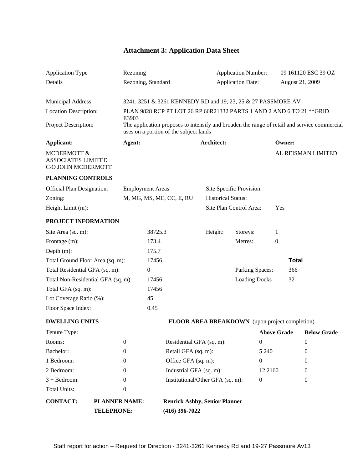# **Attachment 3: Application Data Sheet**

| Application Type                                               |                                    | Rezoning                                                                                                                               |                          |                                      | <b>Application Number:</b>                     |               | 09 161120 ESC 39 OZ            |
|----------------------------------------------------------------|------------------------------------|----------------------------------------------------------------------------------------------------------------------------------------|--------------------------|--------------------------------------|------------------------------------------------|---------------|--------------------------------|
| Details                                                        |                                    | Rezoning, Standard                                                                                                                     |                          |                                      | <b>Application Date:</b>                       |               | August 21, 2009                |
|                                                                |                                    |                                                                                                                                        |                          |                                      |                                                |               |                                |
| Municipal Address:                                             |                                    | 3241, 3251 & 3261 KENNEDY RD and 19, 23, 25 & 27 PASSMORE AV                                                                           |                          |                                      |                                                |               |                                |
| <b>Location Description:</b>                                   |                                    | PLAN 9828 RCP PT LOT 26 RP 66R21332 PARTS 1 AND 2 AND 6 TO 21 ** GRID                                                                  |                          |                                      |                                                |               |                                |
|                                                                |                                    | E3903                                                                                                                                  |                          |                                      |                                                |               |                                |
| Project Description:                                           |                                    | The application proposes to intensify and broaden the range of retail and service commercial<br>uses on a portion of the subject lands |                          |                                      |                                                |               |                                |
| Applicant:                                                     |                                    | Agent:                                                                                                                                 |                          | Architect:                           |                                                | <b>Owner:</b> |                                |
| MCDERMOTT &<br><b>ASSOCIATES LIMITED</b><br>C/O JOHN MCDERMOTT |                                    |                                                                                                                                        |                          |                                      |                                                |               | AL REISMAN LIMITED             |
| PLANNING CONTROLS                                              |                                    |                                                                                                                                        |                          |                                      |                                                |               |                                |
| <b>Official Plan Designation:</b>                              |                                    | <b>Employment Areas</b>                                                                                                                |                          |                                      | Site Specific Provision:                       |               |                                |
| Zoning:                                                        |                                    | M, MG, MS, ME, CC, E, RU                                                                                                               |                          | <b>Historical Status:</b>            |                                                |               |                                |
| Height Limit (m):                                              |                                    |                                                                                                                                        |                          |                                      | Site Plan Control Area: Yes                    |               |                                |
|                                                                |                                    |                                                                                                                                        |                          |                                      |                                                |               |                                |
| PROJECT INFORMATION                                            |                                    |                                                                                                                                        |                          |                                      |                                                |               |                                |
| Site Area (sq. m):                                             |                                    | 38725.3                                                                                                                                |                          | Height:                              | Storeys:                                       |               |                                |
| Frontage (m):                                                  |                                    | 173.4                                                                                                                                  |                          |                                      | Metres:                                        |               |                                |
| Depth (m):                                                     |                                    | 175.7                                                                                                                                  |                          |                                      |                                                |               |                                |
| Total Ground Floor Area (sq. m):                               |                                    | 17456                                                                                                                                  |                          |                                      |                                                | <b>Total</b>  |                                |
| Total Residential GFA (sq. m):                                 |                                    |                                                                                                                                        |                          |                                      | Parking Spaces:                                | 366           |                                |
|                                                                | Total Non-Residential GFA (sq. m): | 17456                                                                                                                                  |                          |                                      | <b>Loading Docks</b>                           | 32            |                                |
| Total GFA (sq. m):                                             |                                    | 17456                                                                                                                                  |                          |                                      |                                                |               |                                |
| Lot Coverage Ratio (%):                                        |                                    | 45                                                                                                                                     |                          |                                      |                                                |               |                                |
| Floor Space Index:                                             |                                    | 0.45                                                                                                                                   |                          |                                      |                                                |               |                                |
|                                                                |                                    |                                                                                                                                        |                          |                                      |                                                |               |                                |
| <b>DWELLING UNITS</b>                                          |                                    |                                                                                                                                        |                          |                                      | FLOOR AREA BREAKDOWN (upon project completion) |               |                                |
| Tenure Type:                                                   |                                    |                                                                                                                                        |                          |                                      |                                                |               | <b>Above Grade Below Grade</b> |
| Rooms:                                                         | $\Omega$                           |                                                                                                                                        | Residential GFA (sq. m): |                                      | $\overline{0}$                                 |               | $\Omega$                       |
| Bachelor:                                                      | $\theta$                           |                                                                                                                                        | Retail GFA (sq. m):      |                                      | 5 2 4 0                                        |               | - 0                            |
| 1 Bedroom:                                                     | $\overline{0}$                     |                                                                                                                                        | Office GFA (sq. m):      |                                      | $\overline{0}$                                 |               | $\Omega$                       |
| 2 Bedroom:                                                     | $\Omega$                           |                                                                                                                                        | Industrial GFA (sq. m):  |                                      | 12 2160                                        |               | $\overline{0}$                 |
| $3 + Bedroom:$                                                 | $\Omega$                           |                                                                                                                                        |                          | Institutional/Other GFA (sq. m):     | $\overline{0}$                                 |               | $\overline{0}$                 |
| Total Units:                                                   | $\overline{0}$                     |                                                                                                                                        |                          |                                      |                                                |               |                                |
|                                                                |                                    |                                                                                                                                        |                          |                                      |                                                |               |                                |
| <b>CONTACT:</b>                                                | <b>PLANNER NAME:</b>               |                                                                                                                                        |                          | <b>Renrick Ashby, Senior Planner</b> |                                                |               |                                |
|                                                                | <b>TELEPHONE:</b>                  |                                                                                                                                        | $(416)$ 396-7022         |                                      |                                                |               |                                |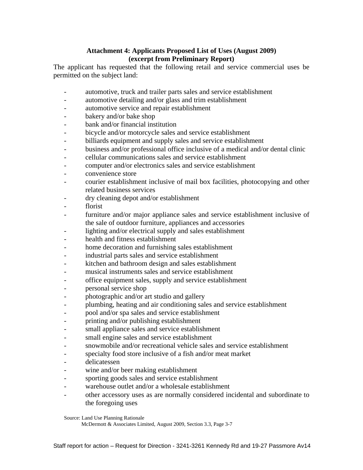#### **Attachment 4: Applicants Proposed List of Uses (August 2009) (excerpt from Preliminary Report)**

The applicant has requested that the following retail and service commercial uses be permitted on the subject land:

- automotive, truck and trailer parts sales and service establishment
- automotive detailing and/or glass and trim establishment
- automotive service and repair establishment
- bakery and/or bake shop
- bank and/or financial institution
- bicycle and/or motorcycle sales and service establishment
- billiards equipment and supply sales and service establishment
- business and/or professional office inclusive of a medical and/or dental clinic
- cellular communications sales and service establishment
- computer and/or electronics sales and service establishment
- convenience store
- courier establishment inclusive of mail box facilities, photocopying and other related business services
- dry cleaning depot and/or establishment
- florist
- furniture and/or major appliance sales and service establishment inclusive of the sale of outdoor furniture, appliances and accessories
- lighting and/or electrical supply and sales establishment
- health and fitness establishment
- home decoration and furnishing sales establishment
- industrial parts sales and service establishment
- kitchen and bathroom design and sales establishment
- musical instruments sales and service establishment
- office equipment sales, supply and service establishment
- personal service shop
- photographic and/or art studio and gallery
- plumbing, heating and air conditioning sales and service establishment
- pool and/or spa sales and service establishment
- printing and/or publishing establishment
- small appliance sales and service establishment
- small engine sales and service establishment
- snowmobile and/or recreational vehicle sales and service establishment
- specialty food store inclusive of a fish and/or meat market
- 
- delicatessen wine and/or beer making establishment
- sporting goods sales and service establishment
- warehouse outlet and/or a wholesale establishment
- other accessory uses as are normally considered incidental and subordinate to the foregoing uses

Source: Land Use Planning Rationale

McDermott & Associates Limited, August 2009, Section 3.3, Page 3-7